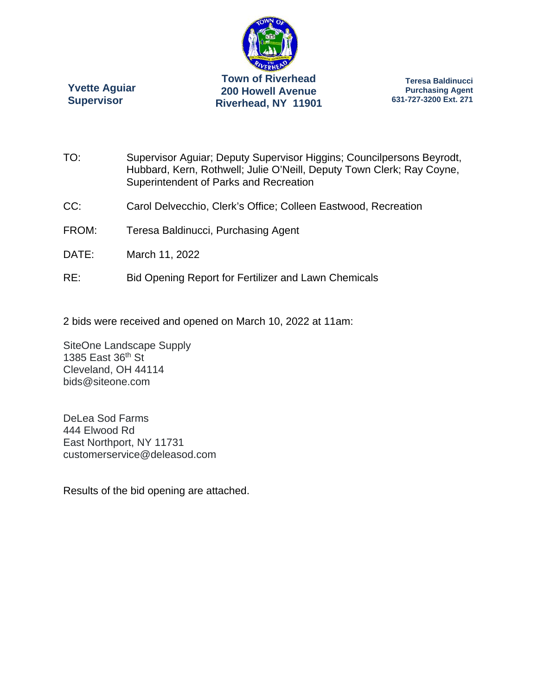

**Yvette Aguiar Supervisor** 

**Teresa Baldinucci Purchasing Agent 631-727-3200 Ext. 271** 

- TO: Supervisor Aguiar; Deputy Supervisor Higgins; Councilpersons Beyrodt, Hubbard, Kern, Rothwell; Julie O'Neill, Deputy Town Clerk; Ray Coyne, Superintendent of Parks and Recreation
- CC: Carol Delvecchio, Clerk's Office; Colleen Eastwood, Recreation
- FROM: Teresa Baldinucci, Purchasing Agent
- DATE: March 11, 2022
- RE: Bid Opening Report for Fertilizer and Lawn Chemicals

2 bids were received and opened on March 10, 2022 at 11am:

SiteOne Landscape Supply 1385 East 36th St Cleveland, OH 44114 bids@siteone.com

DeLea Sod Farms 444 Elwood Rd East Northport, NY 11731 customerservice@deleasod.com

Results of the bid opening are attached.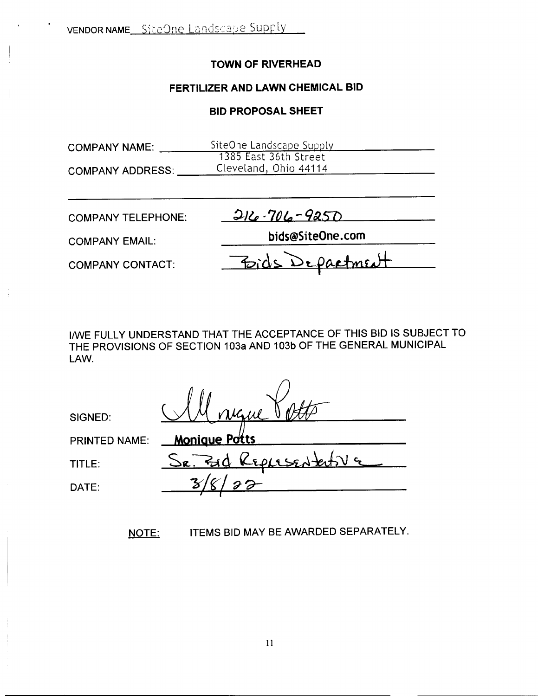#### **TOWN OF RIVERHEAD**

#### **FERTILIZER AND LAWN CHEMICAL BID**

#### **BID PROPOSAL SHEET**

| <b>COMPANY NAME:</b>      | SiteOne Landscape Supply<br>1385 East 36th Street |
|---------------------------|---------------------------------------------------|
| <b>COMPANY ADDRESS:</b>   | Cleveland, Ohio 44114                             |
| <b>COMPANY TELEPHONE:</b> | 216-706-9250                                      |
| <b>COMPANY EMAIL:</b>     | bids@SiteOne.com                                  |
| <b>COMPANY CONTACT:</b>   | Bids Department                                   |

I/wE FULLY UNDERSTAND THAT THE ACCEPTANCE OF THIS BID IS SUBJECT TO THE PROVISIONS OF SECTION 103a AND 103b OF THE GENERAL MUNICIPAL LAW.

PRINTED NAME: **Monjgue P ts**

SIGNED:

TITLE:  $S_{R}$ . End Replased tativ a DATE: **3/8/23** *I* **<sup>r</sup>**

NOTE: ITEMS BID MAY BE AWARDED SEPARATELY.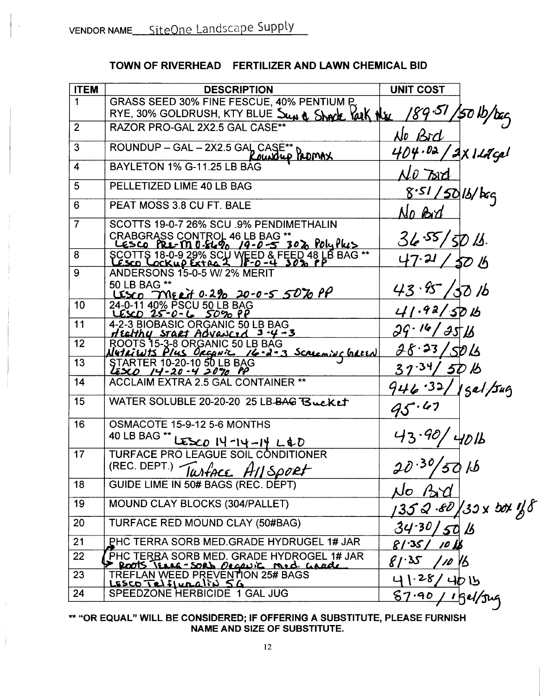## TOWN OF RIVERHEAD FERTILIZER AND LAWN CHEMICAL BID

| <b>ITEM</b>    | <b>DESCRIPTION</b>                                                               | <b>UNIT COST</b>                 |                    |
|----------------|----------------------------------------------------------------------------------|----------------------------------|--------------------|
| 1              | GRASS SEED 30% FINE FESCUE, 40% PENTIUM P                                        |                                  |                    |
|                | RYE, 30% GOLDRUSH, KTY BLUE Sup & Shock Yark Nex                                 | $\mathscr{G}$ 9.51 $\mathscr{G}$ | $450$ lb/bag       |
| $\overline{2}$ | RAZOR PRO-GAL 2X2.5 GAL CASE**                                                   | No Bid                           |                    |
| 3              | ROUNDUP - GAL - 2X2.5 GAL CASE**<br>Roundup PROMAX                               | $404.02$ ,                       | <u>AXILACA</u>     |
| 4              | BAYLETON 1% G-11.25 LB BAG                                                       | No Tard                          |                    |
| 5              | PELLETIZED LIME 40 LB BAG                                                        | $8.51/50$ 1b/bcq                 |                    |
| 6              | PEAT MOSS 3.8 CU FT. BALE                                                        | No Brd                           |                    |
| 7              | SCOTTS 19-0-7 26% SCU .9% PENDIMETHALIN                                          |                                  |                    |
|                | CRABGRASS CONTROL 46 LB BAG **<br><u> LESCO PRE-M0.8690 19-0-5 302 PolyPlus</u>  | 36.55/50/1.                      |                    |
| 8              | SCOTTS 18-0-9 29% SCU WEED & FEED 48 LB BAG **                                   | $47.21$ ,                        | <u>50 b</u>        |
| 9              | ANDERSONS 15-0-5 W/ 2% MERIT                                                     |                                  |                    |
|                | 50 LB BAG **<br>USCO MERT 0.2% 20-0-5 50% PP                                     | 43.87                            | 'SO /b             |
| 10             | 24-0-11 40% PSCU 50 LB BAG<br><u>LESCO 25-0-6 50% PP</u>                         | 41.92/5016                       |                    |
| 11             | 4-2-3 BIOBASIC ORGANIC 50 LB BAG<br>Healthy start Advanced 3-4-3                 | 29.16/351                        |                    |
| 12             | ROOTS 15-3-8 ORGANIC 50 LB BAG<br>Nutricuts Plus Orcanic 16-2-3 Screening Galler | 28.23/50/6                       |                    |
| 13             | <b>STARTER 10-20-10 50 LB BAG</b><br>LESCO 14-20-4 2090 PP                       | 31.34/5DB                        |                    |
| 14             | ACCLAIM EXTRA 2.5 GAL CONTAINER **                                               | 946.32/1gal/Jug                  |                    |
| 15             | WATER SOLUBLE 20-20-20 25 LB-BAG Bucket                                          | 95.47                            |                    |
| 16             | OSMACOTE 15-9-12 5-6 MONTHS                                                      |                                  |                    |
|                | 40 LB BAG **<br>ESCO 14-14-14 L&D                                                | 43.40                            | 401                |
| 17             | TURFACE PRO LEAGUE SOIL CONDITIONER                                              |                                  |                    |
|                | (REC. DEPT.) TUMPACE A11 Sport                                                   | 20.30/50                         |                    |
| 18             | GUIDE LIME IN 50# BAGS (REC. DEPT)                                               | No Bd                            |                    |
| 19             | MOUND CLAY BLOCKS (304/PALLET)                                                   |                                  | 352.80 30x box 1 5 |
| 20             | TURFACE RED MOUND CLAY (50#BAG)                                                  | $34 - 30/50/5$                   |                    |
| 21             | PHC TERRA SORB MED GRADE HYDRUGEL 1# JAR                                         | 81.35/<br>10                     |                    |
| 22             | PHC TERRA SORB MED. GRADE HYDROGEL 1# JAR                                        | 81.35<br>10                      | 16                 |
| 23             |                                                                                  | 1.28/                            | 4015               |
| 24             | Proofs Texas - SORD Degevic Med. Grade                                           | 87.90                            | <u>/ 15el/jug</u>  |

\*\* "OR EQUAL" WILL BE CONSIDERED; IF OFFERING A SUBSTITUTE, PLEASE FURNISH NAME AND SIZE OF SUBSTITUTE.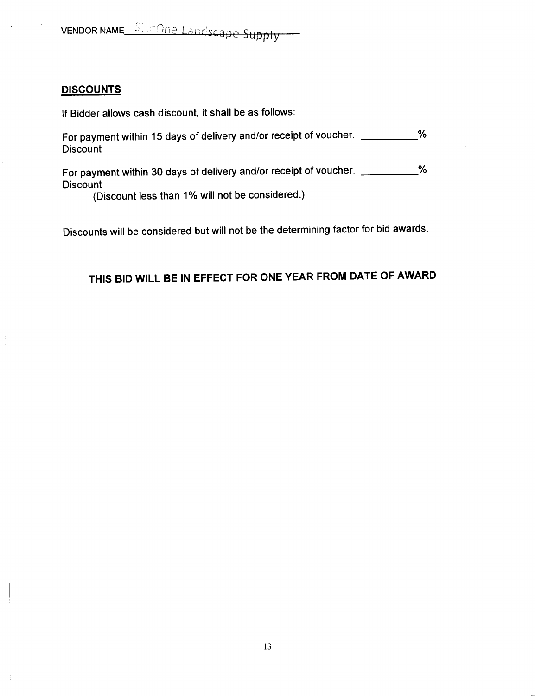vENDOR NAME\_ShoOne Landscape Supply

#### **DISCOUNTS**

If Bidder allows cash discount, it shall be as follows:

For payment within 15 days of delivery and/or receipt of voucher.  $%$ **Discount** 

For payment within 30 days of delivery and/or receipt of voucher. \_\_\_\_\_\_\_\_\_\_\_% **Discount** 

(Discount less than 1% will not be considered.)

Discounts will be considered but will not be the determining factor for bid awards.

# THIS BID WILL BE IN EFFECT FOR ONE YEAR FROM DATE OF AWARD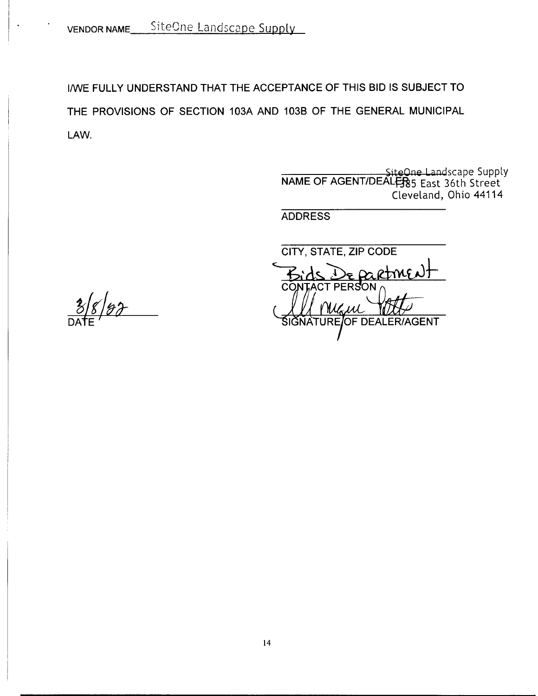VENDOR NAME SiteOne Landscape Supply

I/WE FULLY UNDERSTAND THAT THE ACCEPTANCE OF THIS BID IS SUBJECT TO THE PROVISIONS OF SECTION 103A AND 103B OF THE GENERAL MUNICIPAL LAW.

> SiteOne Landscape Supply NAME OF AGENT/DEALER85 East 36th Street Cleveland, Ohio 44114

**ADDRESS** 

**CITY, STATE, ZIP CODE** e partme **CONT** AGENT **JRF** *I*OF DEAL

 $8/87$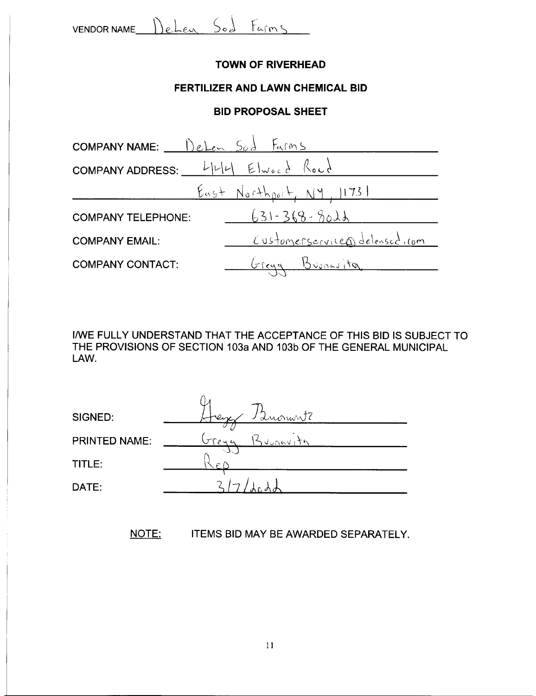$VENDOR NAME$  DeLen Sod Farms

#### **TOWN OF RIVERHEAD**

#### **FERTILIZER AND LAWN CHEMICAL BID**

#### **BID PROPOSAL SHEET**

| COMPANY NAME: $I\left( \begin{array}{cc} 1 \end{array} \right)$ elem $S_0$ $\frac{1}{2}$ Farms |                                  |
|------------------------------------------------------------------------------------------------|----------------------------------|
|                                                                                                |                                  |
|                                                                                                | <u>East Northport, NY, 11731</u> |
| <b>COMPANY TELEPHONE:</b>                                                                      | $631 - 368 - 8021$               |
| <b>COMPANY EMAIL:</b>                                                                          | Customerservice D delensed . com |
| <b>COMPANY CONTACT:</b>                                                                        | Greya Buonavita                  |

I/wE FULLY UNDERSTAND THAT THE ACCEPTANCE OF THIS BID IS SUBJECT TO THE PROVISIONS OF SECTION 103a AND 103b OF THE GENERAL MUNICIPAL LAW.

| SIGNED:       | Luonwitz<br>eix              |  |
|---------------|------------------------------|--|
| PRINTED NAME: | TTP <sub>4</sub><br>NUNGVITA |  |
| TITLE:        | $\mathcal{L}$                |  |
| DATE:         |                              |  |

NOTE: ITEMS BID MAY BE AWARDED SEPARATELY.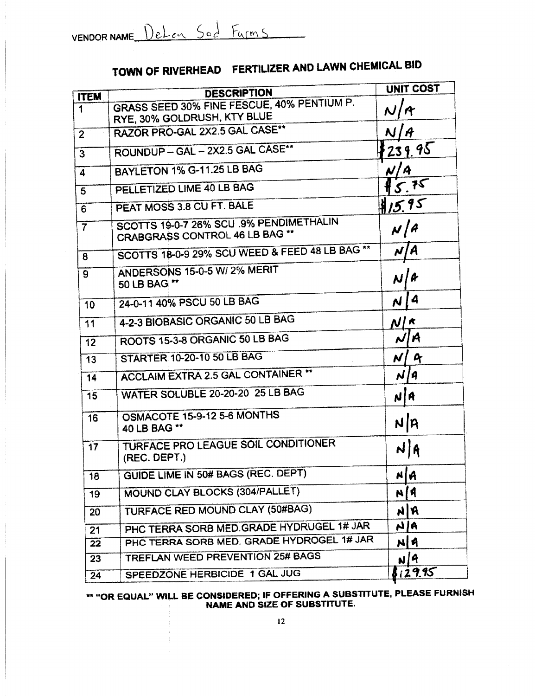# TOWN OF RIVERHEAD FERTILIZER AND LAWN CHEMICAL BID

|                | <b>DESCRIPTION</b>                                                        | <b>UNIT COST</b>   |
|----------------|---------------------------------------------------------------------------|--------------------|
| <b>ITEM</b>    | GRASS SEED 30% FINE FESCUE, 40% PENTIUM P.                                |                    |
| 1              | RYE, 30% GOLDRUSH, KTY BLUE                                               |                    |
| $\overline{2}$ | RAZOR PRO-GAL 2X2.5 GAL CASE**                                            |                    |
| 3              | ROUNDUP - GAL - 2X2.5 GAL CASE**                                          | 239.95             |
| 4              | BAYLETON 1% G-11.25 LB BAG                                                | N   A              |
| 5              | PELLETIZED LIME 40 LB BAG                                                 | 5.75               |
| 6              | PEAT MOSS 3.8 CU FT. BALE                                                 | 15.95              |
| $\overline{7}$ | SCOTTS 19-0-7 26% SCU .9% PENDIMETHALIN<br>CRABGRASS CONTROL 46 LB BAG ** | N/A                |
| 8              | SCOTTS 18-0-9 29% SCU WEED & FEED 48 LB BAG **                            | N   A              |
| 9              | ANDERSONS 15-0-5 W/ 2% MERIT<br>50 LB BAG **                              | N                  |
| 10             | 24-0-11 40% PSCU 50 LB BAG                                                | 4<br>N             |
| 11             | 4-2-3 BIOBASIC ORGANIC 50 LB BAG                                          | $N/\kappa$         |
| 12             | ROOTS 15-3-8 ORGANIC 50 LB BAG                                            | NIA                |
| 13             | <b>STARTER 10-20-10 50 LB BAG</b>                                         | $\mathbf{r}$<br>N, |
| 14             | <b>ACCLAIM EXTRA 2.5 GAL CONTAINER **</b>                                 | N/4                |
| 15             | WATER SOLUBLE 20-20-20 25 LB BAG                                          | NA                 |
| 16             | OSMACOTE 15-9-12 5-6 MONTHS<br>40 LB BAG **                               | NA                 |
| 17             | TURFACE PRO LEAGUE SOIL CONDITIONER<br>(REC. DEPT.)                       | N A                |
| 18             | GUIDE LIME IN 50# BAGS (REC. DEPT)                                        | NA                 |
| 19             | MOUND CLAY BLOCKS (304/PALLET)                                            | N[A                |
| 20             | TURFACE RED MOUND CLAY (50#BAG)                                           | <b>NR</b>          |
| 21             | PHC TERRA SORB MED. GRADE HYDRUGEL 1# JAR                                 | A1A                |
| 22             | PHC TERRA SORB MED. GRADE HYDROGEL 1# JAR                                 | NA                 |
| 23             | <b>TREFLAN WEED PREVENTION 25# BAGS</b>                                   | <u> ม/4</u>        |
| 24             | SPEEDZONE HERBICIDE 1 GAL JUG                                             | 129.95             |

\*\* "OR EQUAL" WILL BE CONSIDERED; IF OFFERING A SUBSTITUTE, PLEASE FURNISH NAME AND SIZE OF SUBSTITUTE.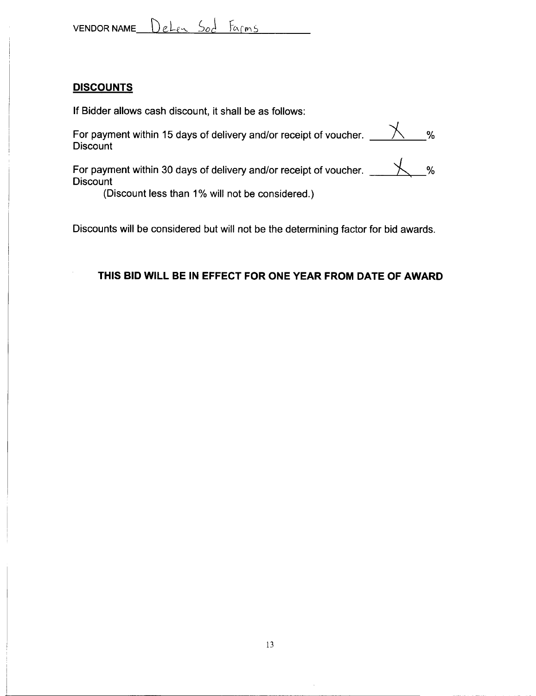#### **DISCOUNTS**

If Bidder allows cash discount, it shall be as follows:

For payment within 15 days of delivery and/or receipt of voucher.  $\_\_\_\_\_\_\_\_\_\_\\$ **Discount** 

For payment within 30 days of delivery and/or receipt of voucher.  $\mathcal{X}$  % **Discount** 

(Discount less than 1% will not be considered.)

Discounts will be considered but will not be the determining factor for bid awards.

### **THIS BID WILL BE IN EFFECT FOR ONE YEAR FROM DATE OF AWARD**

------